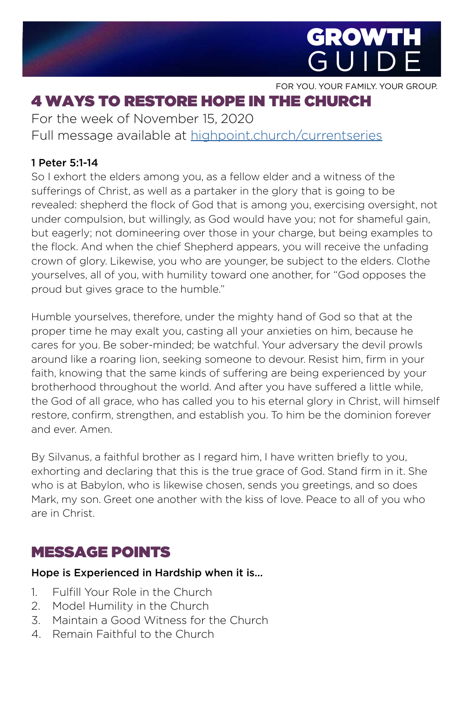

FOR YOU. YOUR FAMILY. YOUR GROUP.

# 4 WAYS TO RESTORE HOPE IN THE CHURCH

For the week of November 15, 2020 Full message available at [highpoint.church/currentseries](http://highpoint.church/currentseries)

#### 1 Peter 5:1-14

So I exhort the elders among you, as a fellow elder and a witness of the sufferings of Christ, as well as a partaker in the glory that is going to be revealed: shepherd the flock of God that is among you, exercising oversight, not under compulsion, but willingly, as God would have you; not for shameful gain, but eagerly; not domineering over those in your charge, but being examples to the flock. And when the chief Shepherd appears, you will receive the unfading crown of glory. Likewise, you who are younger, be subject to the elders. Clothe yourselves, all of you, with humility toward one another, for "God opposes the proud but gives grace to the humble."

Humble yourselves, therefore, under the mighty hand of God so that at the proper time he may exalt you, casting all your anxieties on him, because he cares for you. Be sober-minded; be watchful. Your adversary the devil prowls around like a roaring lion, seeking someone to devour. Resist him, firm in your faith, knowing that the same kinds of suffering are being experienced by your brotherhood throughout the world. And after you have suffered a little while, the God of all grace, who has called you to his eternal glory in Christ, will himself restore, confirm, strengthen, and establish you. To him be the dominion forever and ever. Amen.

By Silvanus, a faithful brother as I regard him, I have written briefly to you, exhorting and declaring that this is the true grace of God. Stand firm in it. She who is at Babylon, who is likewise chosen, sends you greetings, and so does Mark, my son. Greet one another with the kiss of love. Peace to all of you who are in Christ.

### MESSAGE POINTS

#### Hope is Experienced in Hardship when it is…

- 1. Fulfill Your Role in the Church
- 2. Model Humility in the Church
- 3. Maintain a Good Witness for the Church
- 4. Remain Faithful to the Church